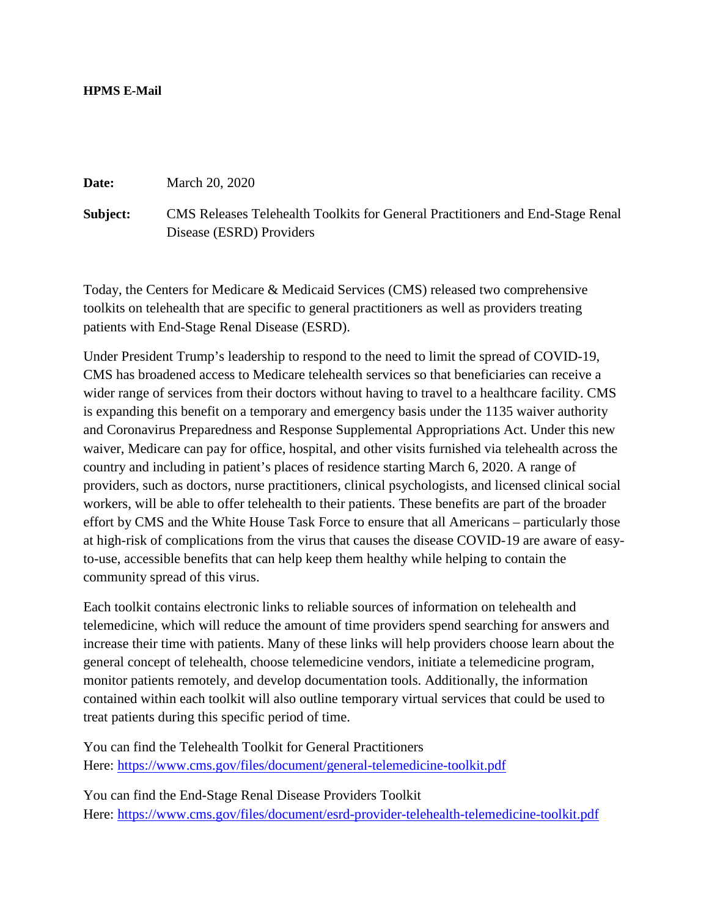## **HPMS E-Mail**

**Date:** March 20, 2020

**Subject:** CMS Releases Telehealth Toolkits for General Practitioners and End-Stage Renal Disease (ESRD) Providers

Today, the Centers for Medicare & Medicaid Services (CMS) released two comprehensive toolkits on telehealth that are specific to general practitioners as well as providers treating patients with End-Stage Renal Disease (ESRD).

Under President Trump's leadership to respond to the need to limit the spread of COVID-19, CMS has broadened access to Medicare telehealth services so that beneficiaries can receive a wider range of services from their doctors without having to travel to a healthcare facility. CMS is expanding this benefit on a temporary and emergency basis under the 1135 waiver authority and Coronavirus Preparedness and Response Supplemental Appropriations Act. Under this new waiver, Medicare can pay for office, hospital, and other visits furnished via telehealth across the country and including in patient's places of residence starting March 6, 2020. A range of providers, such as doctors, nurse practitioners, clinical psychologists, and licensed clinical social workers, will be able to offer telehealth to their patients. These benefits are part of the broader effort by CMS and the White House Task Force to ensure that all Americans – particularly those at high-risk of complications from the virus that causes the disease COVID-19 are aware of easyto-use, accessible benefits that can help keep them healthy while helping to contain the community spread of this virus.

Each toolkit contains electronic links to reliable sources of information on telehealth and telemedicine, which will reduce the amount of time providers spend searching for answers and increase their time with patients. Many of these links will help providers choose learn about the general concept of telehealth, choose telemedicine vendors, initiate a telemedicine program, monitor patients remotely, and develop documentation tools. Additionally, the information contained within each toolkit will also outline temporary virtual services that could be used to treat patients during this specific period of time.

You can find the Telehealth Toolkit for General Practitioners Here: <https://www.cms.gov/files/document/general-telemedicine-toolkit.pdf>

You can find the End-Stage Renal Disease Providers Toolkit Here: <https://www.cms.gov/files/document/esrd-provider-telehealth-telemedicine-toolkit.pdf>